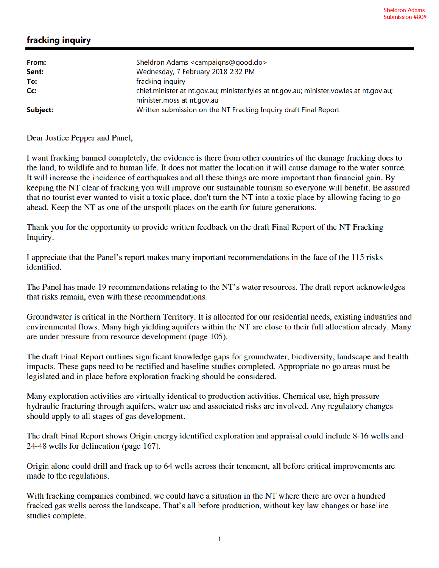## fracking inquiry

| From:    | Sheldron Adams <campaigns@good.do></campaigns@good.do>                                         |
|----------|------------------------------------------------------------------------------------------------|
| Sent:    | Wednesday, 7 February 2018 2:32 PM                                                             |
| To:      | fracking inquiry                                                                               |
| Cc:      | chief.minister at nt.qov.au; minister.fyles at nt.gov.au; minister.vowles at nt.gov.au;        |
| Subject: | minister.moss at nt.gov.au<br>Written submission on the NT Fracking Inquiry draft Final Report |

Dear Justice Pepper and Panel,

I want fracking banned completely, the evidence is there from other countries of the damage fracking does to the land, to wildlife and to human life. It does not matter the location it will cause damage to the water source. It will increase the incidence of earthquakes and all these things are more important than financial gain. By keeping the NT clear of fracking you will improve our sustainable tourism so everyone will benefit. Be assured that no tourist ever wanted to visit a toxic place, don't turn the NT into a toxic place by allowing facing to go ahead. Keep the NT as one of the unspoilt places on the earth for future generations.

Thank you for the opportunity to provide written feedback on the draft Final Report of the NT Fracking Inquiry.

I appreciate that the Panel's report makes many important recommendations in the face of the 115 risks identified.

The Panel has made 19 recommendations relating to the NT's water resources. The draft report acknowledges that risks remain, even with these recommendations.

Groundwater is critical in the Northern Territory. It is allocated for our residential needs, existing industries and environmental flows. Many high yielding aquifers within the NT are close to their full allocation already. Many are under pressure from resource development (page 105).

The draft Final Report outlines significant knowledge gaps for groundwater, biodiversity, landscape and health impacts. These gaps need to be rectified and baseline studies completed. Appropriate no go areas must be legislated and in place before exploration fracking should be considered.

Many exploration activities are virtually identical to production activities. Chemical use, high pressure hydraulic fracturing through aquifers, water use and associated risks are involved. Any regulatory changes should apply to all stages of gas development.

The draft Final Report shows Origin energy identified exploration and appraisal could include 8-16 wells and 24-48 wells for delineation (page 167).

Origin alone could drill and frack up to 64 wells across their tenement, all before critical improvements are made to the regulations.

With fracking companies combined, we could have a situation in the NT where there are over a hundred fracked gas wells across the landscape. That's all before production, without key law changes or baseline studies complete.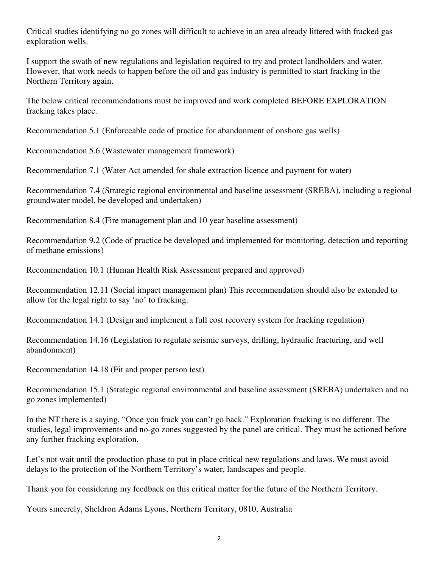Critical studies identifying no go zones will difficult to achieve in an area already littered with fracked gas exploration wells.

I support the swath of new regulations and legislation required to try and protect landholders and water. However, that work needs to happen before the oil and gas industry is permitted to start fracking in the Northern Territory again.

The below critical recommendations must be improved and work completed BEFORE EXPLORATION fracking takes place.

Recommendation 5.1 (Enforceable code of practice for abandonment of onshore gas wells)

Recommendation 5.6 (Wastewater management framework)

Recommendation 7.1 (Water Act amended for shale extraction licence and payment for water)

Recommendation 7.4 (Strategic regional environmental and baseline assessment (SREBA), including a regional groundwater model, be developed and undertaken)

Recommendation 8.4 (Fire management plan and 10 year baseline assessment)

Recommendation 9.2 (Code of practice be developed and implemented for monitoring, detection and reporting of methane emissions)

Recommendation 10.1 (Human Health Risk Assessment prepared and approved)

Recommendation 12.11 (Social impact management plan) This recommendation should also be extended to allow for the legal right to say 'no' to fracking.

Recommendation 14.1 (Design and implement a full cost recovery system for fracking regulation)

Recommendation 14.16 (Legislation to regulate seismic surveys, drilling, hydraulic fracturing, and well abandonment)

Recommendation 14.18 (Fit and proper person test)

Recommendation 15.1 (Strategic regional environmental and baseline assessment (SREBA) undertaken and no go zones implemented)

In the NT there is a saying, "Once you frack you can't go back." Exploration fracking is no different. The studies, legal improvements and no-go zones suggested by the panel are critical. They must be actioned before any further fracking exploration.

Let's not wait until the production phase to put in place critical new regulations and laws. We must avoid delays to the protection of the Northern Territory's water, landscapes and people.

Thank you for considering my feedback on this critical matter for the future of the Northern Territory.

Yours sincerely, Sheldron Adams Lyons, Northern Territory, 0810, Australia